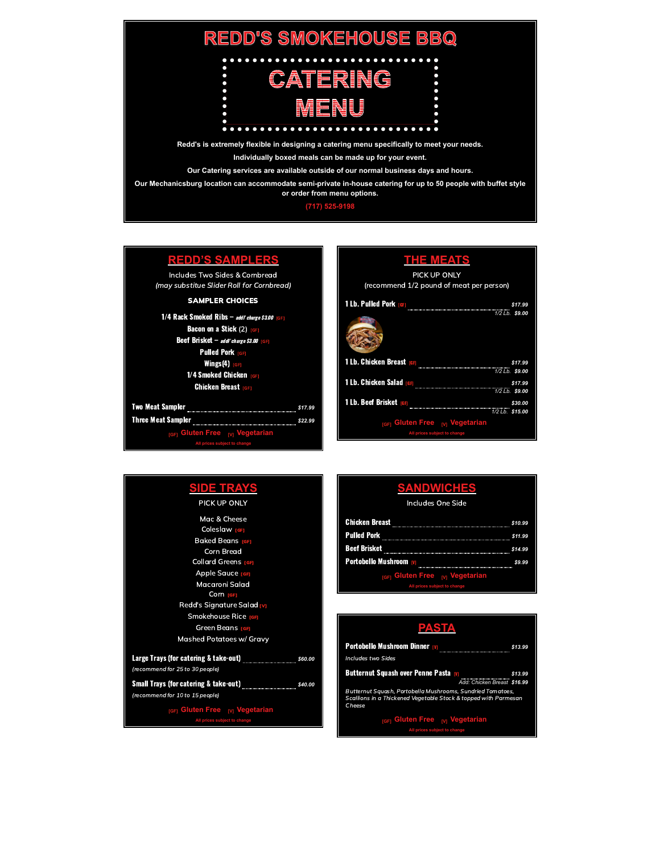

## **(717) [525-9198](tel:+17175259198)**

| REDD'S SAMPL                                                                |         |  |
|-----------------------------------------------------------------------------|---------|--|
| Includes Two Sides & Cornbread<br>(may substitue Slider Roll for Cornbread) |         |  |
| <b>SAMPLER CHOICES</b>                                                      |         |  |
| 1/4 Rack Smoked Ribs - addl' charge \$3.00 [GF]                             |         |  |
| <b>Bacon on a Stick</b> (2) <b>IGFI</b>                                     |         |  |
| <b>Beef Brisket</b> $-$ <i>addl' charge \$3.00</i> [GF]                     |         |  |
| <b>Pulled Pork FGFT</b>                                                     |         |  |
| Wings(4) $_{[GF]}$                                                          |         |  |
| 1/4 Smoked Chicken                                                          |         |  |
| <b>Chicken Breast</b> rem                                                   |         |  |
| Two Meat Sampler                                                            | \$17.99 |  |
| <b>Three Meat Sampler</b>                                                   | \$22.99 |  |
| Gluten Free <sub>M</sub> Vegetarian<br><b>IGF1</b>                          |         |  |
| All prices subject to change                                                |         |  |

| <b>THE MEATS</b><br>PICK UP ONLY                                  |  |
|-------------------------------------------------------------------|--|
| (recommend 1/2 pound of meat per person)                          |  |
| <b>1 Lb. Pulled Pork [GF]</b><br>\$17.99<br>1/2 Lb. \$9.00        |  |
| 1 Lb. Chicken Breast <sub>[GF]</sub><br>\$17.99<br>1/2 Lb. \$9.00 |  |
| 1 Lb. Chicken Salad <sub>[GF]</sub><br>\$17.99<br>1/2 Lb. \$9.00  |  |
| 1 Lb. Beef Brisket <sub>[GF]</sub><br>\$30.00<br>1/2 Lb. \$15.00  |  |
| rgFi Gluten Free <sub>M</sub> Vegetarian                          |  |
| All prices subject to change                                      |  |

| <b>DE TRAYS</b><br>PICK UP ONLY                                                                             |
|-------------------------------------------------------------------------------------------------------------|
| Mac & Cheese<br>Coleslaw <sub>[GF]</sub>                                                                    |
| <b>Baked Beans</b> refi<br><b>Corn Bread</b><br><b>Collard Greens [GF]</b>                                  |
| Apple Sauce [GF]<br>Macaroni Salad                                                                          |
| Corn <sub>IGFI</sub><br>Redd's Signature Salad M                                                            |
| <b>Smokehouse Rice [GF]</b><br>Green Beans ren                                                              |
| <b>Mashed Potatoes w/ Gravy</b>                                                                             |
| Large Trays (for catering & take-out) _______________________<br>\$60.00<br>(recommend for 25 to 30 people) |
| (recommend for 10 to 15 people)                                                                             |
| <sub>IGFI</sub> Gluten Free <sub>M</sub> Vegetarian<br>All prices subject to change                         |

| Includes One Side |  |
|-------------------|--|
|                   |  |

| <b>Chicken Breast</b>                    | \$10.99 |
|------------------------------------------|---------|
| Pulled Pork                              | \$11.99 |
| Beef Brisket                             | \$14.99 |
| Portobello Mushroom <u>w</u>             | \$9.99  |
| real Gluten Free <sub>M</sub> Vegetarian |         |
| All prices subject to change             |         |

| PASTA                                                                                                                                   |         |  |
|-----------------------------------------------------------------------------------------------------------------------------------------|---------|--|
| <b>Portobello Mushroom Dinner m</b><br><b>Includes two Sides</b>                                                                        | \$13.99 |  |
| <b>Butternut Squash over Penne Pasta M</b><br>Add: Chicken Breast \$16.99                                                               | \$13.99 |  |
| Butternut Squash, Portobella Mushrooms, Sundried Tomatoes,<br>Scallions in a Thickened Vegetable Stock & topped with Parmesan<br>Cheese |         |  |
| <sub>IGFI</sub> Gluten Free <sub>M</sub> Vegetarian<br>All prices subject to change                                                     |         |  |